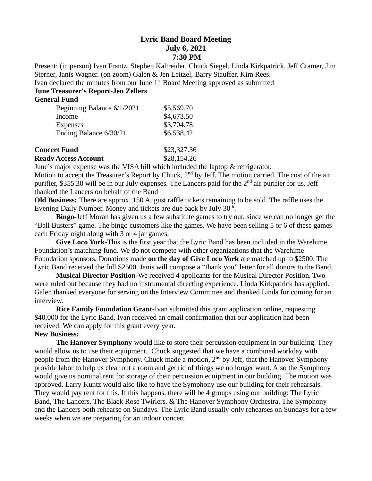## **Lyric Band Board Meeting July 6, 2021 7:30 PM**

Present: (in person) Ivan Frantz, Stephen Kaltreider, Chuck Siegel, Linda Kirkpatrick, Jeff Cramer, Jim Sterner, Janis Wagner. (on zoom) Galen & Jen Leitzel, Barry Stauffer, Kim Rees.

Ivan declared the minutes from our June 1<sup>st</sup> Board Meeting approved as submitted

# **June Treasurer's Report-Jen Zellers**

#### **General Fund**

| Beginning Balance 6/1/2021 | \$5,569.70 |
|----------------------------|------------|
| Income                     | \$4,673.50 |
| <b>Expenses</b>            | \$3,704.78 |
| Ending Balance 6/30/21     | \$6,538.42 |
|                            |            |

| <b>Concert Fund</b>         | \$23,327.36 |
|-----------------------------|-------------|
| <b>Ready Access Account</b> | \$28,154.26 |

June's major expense was the VISA bill which included the laptop & refrigerator.

Motion to accept the Treasurer's Report by Chuck, 2<sup>nd</sup> by Jeff. The motion carried. The cost of the air purifier, \$355.30 will be in our July expenses. The Lancers paid for the  $2<sup>nd</sup>$  air purifier for us. Jeff thanked the Lancers on behalf of the Band

**Old Business:** There are approx. 150 August raffle tickets remaining to be sold. The raffle uses the Evening Daily Number. Money and tickets are due back by July 30<sup>th</sup>.

**Bingo-**Jeff Moran has given us a few substitute games to try out, since we can no longer get the "Ball Busters" game. The bingo customers like the games. We have been selling 5 or 6 of these games each Friday night along with 3 or 4 jar games.

**Give Loco York-**This is the first year that the Lyric Band has been included in the Warehime Foundation's matching fund. We do not compete with other organizations that the Warehime Foundation sponsors. Donations made **on the day of Give Loco York** are matched up to \$2500. The Lyric Band received the full \$2500. Janis will compose a "thank you" letter for all donors to the Band.

**Musical Director Position-**We received 4 applicants for the Musical Director Position. Two were ruled out because they had no instrumental directing experience. Linda Kirkpatrick has applied. Galen thanked everyone for serving on the Interview Committee and thanked Linda for coming for an interview.

**Rice Family Foundation Grant-**Ivan submitted this grant application online, requesting \$40,000 for the Lyric Band. Ivan received an email confirmation that our application had been received. We can apply for this grant every year.

### **New Business:**

**The Hanover Symphony** would like to store their percussion equipment in our building. They would allow us to use their equipment. Chuck suggested that we have a combined workday with people from the Hanover Symphony. Chuck made a motion, 2<sup>nd</sup> by Jeff, that the Hanover Symphony provide labor to help us clear out a room and get rid of things we no longer want. Also the Symphony would give us nominal rent for storage of their percussion equipment in our building. The motion was approved. Larry Kuntz would also like to have the Symphony use our building for their rehearsals. They would pay rent for this. If this happens, there will be 4 groups using our building: The Lyric Band, The Lancers, The Black Rose Twirlers, & The Hanover Symphony Orchestra. The Symphony and the Lancers both rehearse on Sundays. The Lyric Band usually only rehearses on Sundays for a few weeks when we are preparing for an indoor concert.